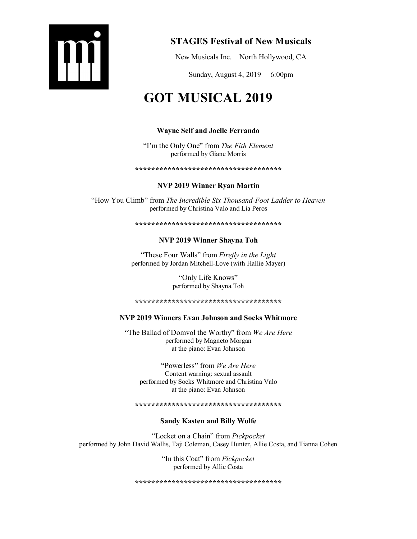

# STAGES Festival of New Musicals

New Musicals Inc. North Hollywood, CA

Sunday, August 4, 2019 6:00pm

# GOT MUSICAL 2019

# Wayne Self and Joelle Ferrando

"I'm the Only One" from *The Fith Element* performed by Giane Morris

#### \*\*\*\*\*\*\*\*\*\*\*\*\*\*\*\*\*\*\*\*\*\*\*\*\*\*\*\*\*\*\*\*\*\*\*\*

# NVP 2019 Winner Ryan Martin

"How You Climb" from *The Incredible Six Thousand-Foot Ladder to Heaven* performed by Christina Valo and Lia Peros

# \*\*\*\*\*\*\*\*\*\*\*\*\*\*\*\*\*\*\*\*\*\*\*\*\*\*\*\*\*\*\*\*\*\*\*\*

# NVP 2019 Winner Shayna Toh

"These Four Walls" from *Firefly in the Light* performed by Jordan Mitchell-Love (with Hallie Mayer)

> "Only Life Knows" performed by Shayna Toh

\*\*\*\*\*\*\*\*\*\*\*\*\*\*\*\*\*\*\*\*\*\*\*\*\*\*\*\*\*\*\*\*\*\*\*\*

# NVP 2019 Winners Evan Johnson and Socks Whitmore

"The Ballad of Domvol the Worthy" from *We Are Here* performed by Magneto Morgan at the piano: Evan Johnson

"Powerless" from *We Are Here* Content warning: sexual assault performed by Socks Whitmore and Christina Valo at the piano: Evan Johnson

\*\*\*\*\*\*\*\*\*\*\*\*\*\*\*\*\*\*\*\*\*\*\*\*\*\*\*\*\*\*\*\*\*\*\*\*

# Sandy Kasten and Billy Wolfe

"Locket on a Chain" from *Pickpocket* performed by John David Wallis, Taji Coleman, Casey Hunter, Allie Costa, and Tianna Cohen

> "In this Coat" from *Pickpocket* performed by Allie Costa

\*\*\*\*\*\*\*\*\*\*\*\*\*\*\*\*\*\*\*\*\*\*\*\*\*\*\*\*\*\*\*\*\*\*\*\*